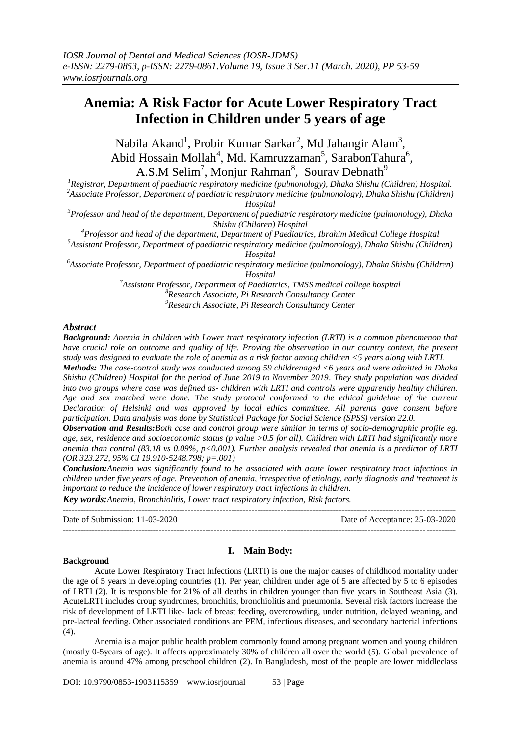# **Anemia: A Risk Factor for Acute Lower Respiratory Tract Infection in Children under 5 years of age**

Nabila Akand<sup>1</sup>, Probir Kumar Sarkar<sup>2</sup>, Md Jahangir Alam<sup>3</sup>, Abid Hossain Mollah<sup>4</sup>, Md. Kamruzzaman<sup>5</sup>, SarabonTahura<sup>6</sup>, A.S.M Selim<sup>7</sup>, Monjur Rahman<sup>8</sup>, Sourav Debnath<sup>9</sup>

*<sup>1</sup>Registrar, Department of paediatric respiratory medicine (pulmonology), Dhaka Shishu (Children) Hospital. <sup>2</sup>Associate Professor, Department of paediatric respiratory medicine (pulmonology), Dhaka Shishu (Children)* 

*Hospital*

*<sup>3</sup>Professor and head of the department, Department of paediatric respiratory medicine (pulmonology), Dhaka Shishu (Children) Hospital*

*<sup>4</sup>Professor and head of the department, Department of Paediatrics, Ibrahim Medical College Hospital*

*<sup>5</sup>Assistant Professor, Department of paediatric respiratory medicine (pulmonology), Dhaka Shishu (Children) Hospital*

*<sup>6</sup>Associate Professor, Department of paediatric respiratory medicine (pulmonology), Dhaka Shishu (Children) Hospital*

> *<sup>7</sup>Assistant Professor, Department of Paediatrics, TMSS medical college hospital <sup>8</sup>Research Associate, Pi Research Consultancy Center <sup>9</sup>Research Associate, Pi Research Consultancy Center*

# *Abstract*

*Background: Anemia in children with Lower tract respiratory infection (LRTI) is a common phenomenon that have crucial role on outcome and quality of life. Proving the observation in our country context, the present study was designed to evaluate the role of anemia as a risk factor among children <5 years along with LRTI.* 

*Methods: The case-control study was conducted among 59 childrenaged <6 years and were admitted in Dhaka Shishu (Children) Hospital for the period of June 2019 to November 2019. They study population was divided into two groups where case was defined as- children with LRTI and controls were apparently healthy children. Age and sex matched were done. The study protocol conformed to the ethical guideline of the current Declaration of Helsinki and was approved by local ethics committee. All parents gave consent before participation. Data analysis was done by Statistical Package for Social Science (SPSS) version 22.0.* 

*Observation and Results:Both case and control group were similar in terms of socio-demographic profile eg. age, sex, residence and socioeconomic status (p value >0.5 for all). Children with LRTI had significantly more anemia than control (83.18 vs 0.09%, p<0.001). Further analysis revealed that anemia is a predictor of LRTI (OR 323.272, 95% CI 19.910-5248.798; p=.001)*

*Conclusion:Anemia was significantly found to be associated with acute lower respiratory tract infections in children under five years of age. Prevention of anemia, irrespective of etiology, early diagnosis and treatment is important to reduce the incidence of lower respiratory tract infections in children.*

*Key words:Anemia, Bronchiolitis, Lower tract respiratory infection, Risk factors.* 

| Date of Submission: $11-03-2020$ | Date of Acceptance: 25-03-2020 |
|----------------------------------|--------------------------------|
|                                  |                                |

## **Background**

# **I. Main Body:**

Acute Lower Respiratory Tract Infections (LRTI) is one the major causes of childhood mortality under the age of 5 years in developing countries (1). Per year, children under age of 5 are affected by 5 to 6 episodes of LRTI (2). It is responsible for 21% of all deaths in children younger than five years in Southeast Asia (3). AcuteLRTI includes croup syndromes, bronchitis, bronchiolitis and pneumonia. Several risk factors increase the risk of development of LRTI like- lack of breast feeding, overcrowding, under nutrition, delayed weaning, and pre-lacteal feeding. Other associated conditions are PEM, infectious diseases, and secondary bacterial infections (4).

Anemia is a major public health problem commonly found among pregnant women and young children (mostly 0-5years of age). It affects approximately 30% of children all over the world (5). Global prevalence of anemia is around 47% among preschool children (2). In Bangladesh, most of the people are lower middleclass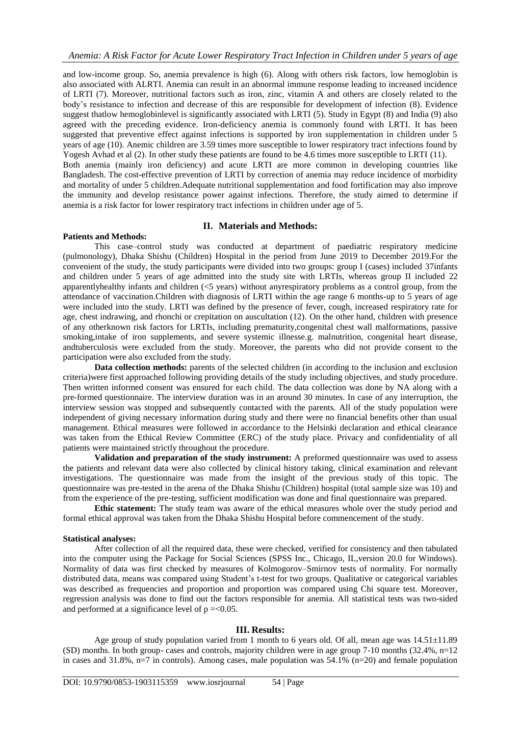and low-income group. So, anemia prevalence is high (6). Along with others risk factors, low hemoglobin is also associated with ALRTI. Anemia can result in an abnormal immune response leading to increased incidence of LRTI (7). Moreover, nutritional factors such as iron, zinc, vitamin A and others are closely related to the body"s resistance to infection and decrease of this are responsible for development of infection (8). Evidence suggest thatlow hemoglobinlevel is significantly associated with LRTI (5). Study in Egypt (8) and India (9) also agreed with the preceding evidence. Iron-deficiency anemia is commonly found with LRTI. It has been suggested that preventive effect against infections is supported by iron supplementation in children under 5 years of age (10). Anemic children are 3.59 times more susceptible to lower respiratory tract infections found by Yogesh Avhad et al (2). In other study these patients are found to be 4.6 times more susceptible to LRTI (11). Both anemia (mainly iron deficiency) and acute LRTI are more common in developing countries like Bangladesh. The cost-effective prevention of LRTI by correction of anemia may reduce incidence of morbidity and mortality of under 5 children.Adequate nutritional supplementation and food fortification may also improve the immunity and develop resistance power against infections. Therefore, the study aimed to determine if anemia is a risk factor for lower respiratory tract infections in children under age of 5.

## **II. Materials and Methods:**

# **Patients and Methods:**

This case–control study was conducted at department of paediatric respiratory medicine (pulmonology), Dhaka Shishu (Children) Hospital in the period from June 2019 to December 2019.For the convenient of the study, the study participants were divided into two groups: group I (cases) included 37infants and children under 5 years of age admitted into the study site with LRTIs, whereas group II included 22 apparentlyhealthy infants and children (<5 years) without anyrespiratory problems as a control group, from the attendance of vaccination.Children with diagnosis of LRTI within the age range 6 months-up to 5 years of age were included into the study. LRTI was defined by the presence of fever, cough, increased respiratory rate for age, chest indrawing, and rhonchi or crepitation on auscultation (12). On the other hand, children with presence of any otherknown risk factors for LRTIs, including prematurity,congenital chest wall malformations, passive smoking,intake of iron supplements, and severe systemic illnesse.g. malnutrition, congenital heart disease, andtuberculosis were excluded from the study. Moreover, the parents who did not provide consent to the participation were also excluded from the study.

**Data collection methods:** parents of the selected children (in according to the inclusion and exclusion criteria)were first approached following providing details of the study including objectives, and study procedure. Then written informed consent was ensured for each child. The data collection was done by NA along with a pre-formed questionnaire. The interview duration was in an around 30 minutes. In case of any interruption, the interview session was stopped and subsequently contacted with the parents. All of the study population were independent of giving necessary information during study and there were no financial benefits other than usual management. Ethical measures were followed in accordance to the Helsinki declaration and ethical clearance was taken from the Ethical Review Committee (ERC) of the study place. Privacy and confidentiality of all patients were maintained strictly throughout the procedure.

**Validation and preparation of the study instrument:** A preformed questionnaire was used to assess the patients and relevant data were also collected by clinical history taking, clinical examination and relevant investigations. The questionnaire was made from the insight of the previous study of this topic. The questionnaire was pre-tested in the arena of the Dhaka Shishu (Children) hospital (total sample size was 10) and from the experience of the pre-testing, sufficient modification was done and final questionnaire was prepared.

**Ethic statement:** The study team was aware of the ethical measures whole over the study period and formal ethical approval was taken from the Dhaka Shishu Hospital before commencement of the study.

#### **Statistical analyses:**

After collection of all the required data, these were checked, verified for consistency and then tabulated into the computer using the Package for Social Sciences (SPSS Inc., Chicago, IL,version 20.0 for Windows). Normality of data was first checked by measures of Kolmogorov–Smirnov tests of normality. For normally distributed data, means was compared using Student's t-test for two groups. Qualitative or categorical variables was described as frequencies and proportion and proportion was compared using Chi square test. Moreover, regression analysis was done to find out the factors responsible for anemia. All statistical tests was two-sided and performed at a significance level of  $p = < 0.05$ .

#### **III. Results:**

Age group of study population varied from 1 month to 6 years old. Of all, mean age was  $14.51\pm11.89$ (SD) months. In both group- cases and controls, majority children were in age group 7-10 months (32.4%, n=12 in cases and  $31.8\%$ , n=7 in controls). Among cases, male population was  $54.1\%$  (n=20) and female population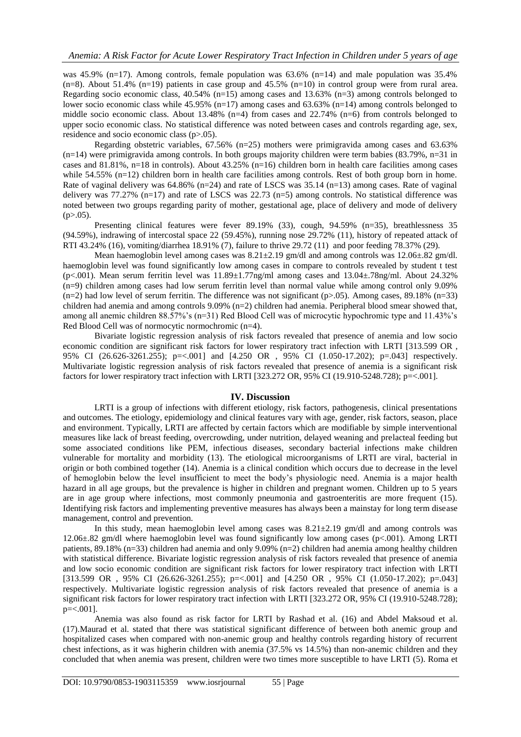was 45.9% (n=17). Among controls, female population was 63.6% (n=14) and male population was 35.4%  $(n=8)$ . About 51.4%  $(n=19)$  patients in case group and 45.5%  $(n=10)$  in control group were from rural area. Regarding socio economic class, 40.54% (n=15) among cases and 13.63% (n=3) among controls belonged to lower socio economic class while  $45.95\%$  (n=17) among cases and  $63.63\%$  (n=14) among controls belonged to middle socio economic class. About 13.48% (n=4) from cases and 22.74% (n=6) from controls belonged to upper socio economic class. No statistical difference was noted between cases and controls regarding age, sex, residence and socio economic class (p>.05).

Regarding obstetric variables,  $67.56\%$  (n=25) mothers were primigravida among cases and  $63.63\%$  $(n=14)$  were primigravida among controls. In both groups majority children were term babies (83.79%, n=31 in cases and 81.81%, n=18 in controls). About  $43.25\%$  (n=16) children born in health care facilities among cases while 54.55% (n=12) children born in health care facilities among controls. Rest of both group born in home. Rate of vaginal delivery was  $64.86\%$  (n=24) and rate of LSCS was  $35.14$  (n=13) among cases. Rate of vaginal delivery was 77.27% (n=17) and rate of LSCS was 22.73 (n=5) among controls. No statistical difference was noted between two groups regarding parity of mother, gestational age, place of delivery and mode of delivery  $(p>0.05)$ .

Presenting clinical features were fever 89.19% (33), cough, 94.59% (n=35), breathlessness 35 (94.59%), indrawing of intercostal space 22 (59.45%), running nose 29.72% (11), history of repeated attack of RTI 43.24% (16), vomiting/diarrhea 18.91% (7), failure to thrive 29.72 (11) and poor feeding 78.37% (29).

Mean haemoglobin level among cases was  $8.21 \pm 2.19$  gm/dl and among controls was  $12.06 \pm .82$  gm/dl. haemoglobin level was found significantly low among cases in compare to controls revealed by student t test (p<.001). Mean serum ferritin level was  $11.89 \pm 1.77$ ng/ml among cases and  $13.04 \pm .78$ ng/ml. About 24.32% (n=9) children among cases had low serum ferritin level than normal value while among control only 9.09%  $(n=2)$  had low level of serum ferritin. The difference was not significant  $(p>0.05)$ . Among cases, 89.18%  $(n=33)$ children had anemia and among controls 9.09% (n=2) children had anemia. Peripheral blood smear showed that, among all anemic children 88.57%'s (n=31) Red Blood Cell was of microcytic hypochromic type and 11.43%'s Red Blood Cell was of normocytic normochromic (n=4).

Bivariate logistic regression analysis of risk factors revealed that presence of anemia and low socio economic condition are significant risk factors for lower respiratory tract infection with LRTI [313.599 OR , 95% CI (26.626-3261.255); p=<.001] and [4.250 OR, 95% CI (1.050-17.202); p=.043] respectively. Multivariate logistic regression analysis of risk factors revealed that presence of anemia is a significant risk factors for lower respiratory tract infection with LRTI [323.272 OR, 95% CI (19.910-5248.728); p=<.001].

#### **IV. Discussion**

LRTI is a group of infections with different etiology, risk factors, pathogenesis, clinical presentations and outcomes. The etiology, epidemiology and clinical features vary with age, gender, risk factors, season, place and environment. Typically, LRTI are affected by certain factors which are modifiable by simple interventional measures like lack of breast feeding, overcrowding, under nutrition, delayed weaning and prelacteal feeding but some associated conditions like PEM, infectious diseases, secondary bacterial infections make children vulnerable for mortality and morbidity (13). The etiological microorganisms of LRTI are viral, bacterial in origin or both combined together (14). Anemia is a clinical condition which occurs due to decrease in the level of hemoglobin below the level insufficient to meet the body"s physiologic need. Anemia is a major health hazard in all age groups, but the prevalence is higher in children and pregnant women. Children up to 5 years are in age group where infections, most commonly pneumonia and gastroenteritis are more frequent (15). Identifying risk factors and implementing preventive measures has always been a mainstay for long term disease management, control and prevention.

In this study, mean haemoglobin level among cases was  $8.21 \pm 2.19$  gm/dl and among controls was 12.06±.82 gm/dl where haemoglobin level was found significantly low among cases (p<.001). Among LRTI patients, 89.18% (n=33) children had anemia and only 9.09% (n=2) children had anemia among healthy children with statistical difference. Bivariate logistic regression analysis of risk factors revealed that presence of anemia and low socio economic condition are significant risk factors for lower respiratory tract infection with LRTI [313.599 OR, 95% CI (26.626-3261.255); p=<.001] and [4.250 OR, 95% CI (1.050-17.202); p=.043] respectively. Multivariate logistic regression analysis of risk factors revealed that presence of anemia is a significant risk factors for lower respiratory tract infection with LRTI [323.272 OR, 95% CI (19.910-5248.728); p=<.001].

Anemia was also found as risk factor for LRTI by Rashad et al. (16) and Abdel Maksoud et al. (17).Maurad et al. stated that there was statistical significant difference of between both anemic group and hospitalized cases when compared with non-anemic group and healthy controls regarding history of recurrent chest infections, as it was higherin children with anemia (37.5% vs 14.5%) than non-anemic children and they concluded that when anemia was present, children were two times more susceptible to have LRTI (5). Roma et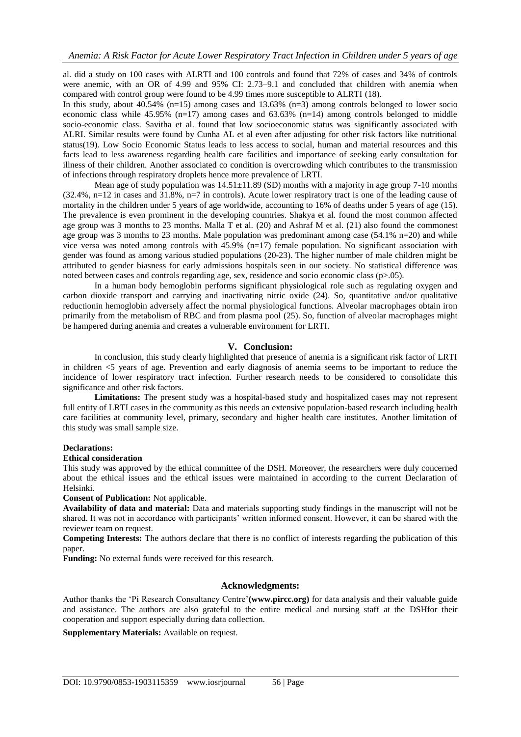al. did a study on 100 cases with ALRTI and 100 controls and found that 72% of cases and 34% of controls were anemic, with an OR of 4.99 and 95% CI: 2.73–9.1 and concluded that children with anemia when compared with control group were found to be 4.99 times more susceptible to ALRTI (18).

In this study, about 40.54% (n=15) among cases and 13.63% (n=3) among controls belonged to lower socio economic class while  $45.95\%$  (n=17) among cases and  $63.63\%$  (n=14) among controls belonged to middle socio-economic class. Savitha et al. found that low socioeconomic status was significantly associated with ALRI. Similar results were found by Cunha AL et al even after adjusting for other risk factors like nutritional status(19). Low Socio Economic Status leads to less access to social, human and material resources and this facts lead to less awareness regarding health care facilities and importance of seeking early consultation for illness of their children. Another associated co condition is overcrowding which contributes to the transmission of infections through respiratory droplets hence more prevalence of LRTI.

Mean age of study population was  $14.51\pm11.89$  (SD) months with a majority in age group 7-10 months (32.4%, n=12 in cases and 31.8%, n=7 in controls). Acute lower respiratory tract is one of the leading cause of mortality in the children under 5 years of age worldwide, accounting to 16% of deaths under 5 years of age (15). The prevalence is even prominent in the developing countries. Shakya et al. found the most common affected age group was 3 months to 23 months. Malla T et al. (20) and Ashraf M et al. (21) also found the commonest age group was 3 months to 23 months. Male population was predominant among case (54.1% n=20) and while vice versa was noted among controls with 45.9% (n=17) female population. No significant association with gender was found as among various studied populations (20-23). The higher number of male children might be attributed to gender biasness for early admissions hospitals seen in our society. No statistical difference was noted between cases and controls regarding age, sex, residence and socio economic class (p>.05).

In a human body hemoglobin performs significant physiological role such as regulating oxygen and carbon dioxide transport and carrying and inactivating nitric oxide (24). So, quantitative and/or qualitative reductionin hemoglobin adversely affect the normal physiological functions. Alveolar macrophages obtain iron primarily from the metabolism of RBC and from plasma pool (25). So, function of alveolar macrophages might be hampered during anemia and creates a vulnerable environment for LRTI.

### **V. Conclusion:**

In conclusion, this study clearly highlighted that presence of anemia is a significant risk factor of LRTI in children <5 years of age. Prevention and early diagnosis of anemia seems to be important to reduce the incidence of lower respiratory tract infection. Further research needs to be considered to consolidate this significance and other risk factors.

**Limitations:** The present study was a hospital-based study and hospitalized cases may not represent full entity of LRTI cases in the community as this needs an extensive population-based research including health care facilities at community level, primary, secondary and higher health care institutes. Another limitation of this study was small sample size.

### **Declarations:**

#### **Ethical consideration**

This study was approved by the ethical committee of the DSH. Moreover, the researchers were duly concerned about the ethical issues and the ethical issues were maintained in according to the current Declaration of Helsinki.

**Consent of Publication:** Not applicable.

**Availability of data and material:** Data and materials supporting study findings in the manuscript will not be shared. It was not in accordance with participants' written informed consent. However, it can be shared with the reviewer team on request.

**Competing Interests:** The authors declare that there is no conflict of interests regarding the publication of this paper.

**Funding:** No external funds were received for this research.

## **Acknowledgments:**

Author thanks the "Pi Research Consultancy Centre"**(www.pircc.org)** for data analysis and their valuable guide and assistance. The authors are also grateful to the entire medical and nursing staff at the DSHfor their cooperation and support especially during data collection.

**Supplementary Materials:** Available on request.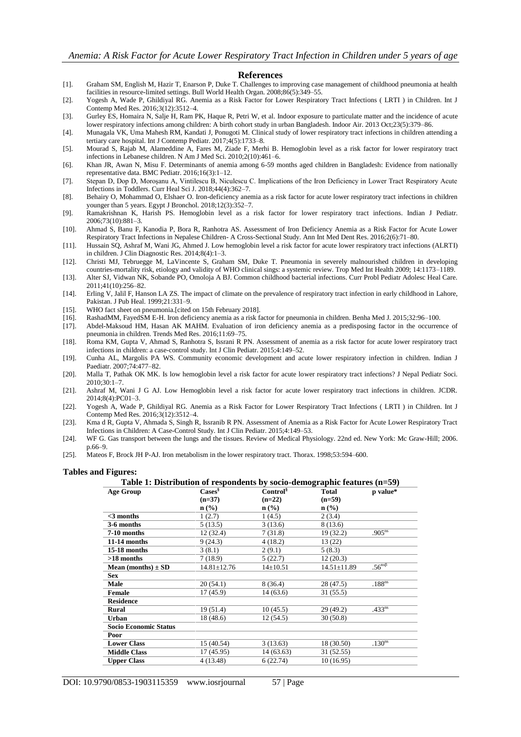#### **References**

- [1]. Graham SM, English M, Hazir T, Enarson P, Duke T. Challenges to improving case management of childhood pneumonia at health facilities in resource-limited settings. Bull World Health Organ. 2008;86(5):349–55.
- [2]. Yogesh A, Wade P, Ghildiyal RG. Anemia as a Risk Factor for Lower Respiratory Tract Infections ( LRTI ) in Children. Int J Contemp Med Res. 2016;3(12):3512–4.
- [3]. Gurley ES, Homaira N, Salje H, Ram PK, Haque R, Petri W, et al. Indoor exposure to particulate matter and the incidence of acute lower respiratory infections among children: A birth cohort study in urban Bangladesh. Indoor Air. 2013 Oct;23(5):379–86.
- [4]. Munagala VK, Uma Mahesh RM, Kandati J, Ponugoti M. Clinical study of lower respiratory tract infections in children attending a tertiary care hospital. Int J Contemp Pediatr. 2017;4(5):1733-8.
- [5]. Mourad S, Rajab M, Alameddine A, Fares M, Ziade F, Merhi B. Hemoglobin level as a risk factor for lower respiratory tract infections in Lebanese children. N Am J Med Sci. 2010;2(10):461–6.
- [6]. Khan JR, Awan N, Misu F. Determinants of anemia among 6-59 months aged children in Bangladesh: Evidence from nationally representative data. BMC Pediatr. 2016;16(3):1–12.
- [7]. Stepan D, Dop D, Moroşanu A, Vintilescu B, Niculescu C. Implications of the Iron Deficiency in Lower Tract Respiratory Acute Infections in Toddlers. Curr Heal Sci J. 2018;44(4):362–7.
- [8]. Behairy O, Mohammad O, Elshaer O. Iron-deficiency anemia as a risk factor for acute lower respiratory tract infections in children younger than 5 years. Egypt J Bronchol. 2018;12(3):352–7.
- [9]. Ramakrishnan K, Harish PS. Hemoglobin level as a risk factor for lower respiratory tract infections. Indian J Pediatr. 2006;73(10):881–3.
- [10]. Ahmad S, Banu F, Kanodia P, Bora R, Ranhotra AS. Assessment of Iron Deficiency Anemia as a Risk Factor for Acute Lower Respiratory Tract Infections in Nepalese Children- A Cross-Sectional Study. Ann Int Med Dent Res. 2016;2(6):71–80.
- [11]. Hussain SQ, Ashraf M, Wani JG, Ahmed J. Low hemoglobin level a risk factor for acute lower respiratory tract infections (ALRTI) in children. J Clin Diagnostic Res. 2014;8(4):1–3.
- [12]. Christi MJ, Tebruegge M, LaVincente S, Graham SM, Duke T. Pneumonia in severely malnourished children in developing countries-mortality risk, etiology and validity of WHO clinical sings: a systemic review. Trop Med Int Health 2009; 14:1173–1189.
- [13]. Alter SJ, Vidwan NK, Sobande PO, Omoloja A BJ. Common childhood bacterial infections. Curr Probl Pediatr Adolesc Heal Care. 2011;41(10):256–82.
- [14]. Erling V, Jalil F, Hanson LA ZS. The impact of climate on the prevalence of respiratory tract infection in early childhood in Lahore, Pakistan. J Pub Heal. 1999;21:331–9.
- [15]. WHO fact sheet on pneumonia.[cited on 15th February 2018].
- [16]. RashadMM, FayedSM E-H. Iron deficiency anemia as a risk factor for pneumonia in children. Benha Med J. 2015;32:96–100.
- [17]. Abdel-Maksoud HM, Hasan AK MAHM. Evaluation of iron deficiency anemia as a predisposing factor in the occurrence of pneumonia in children. Trends Med Res. 2016;11:69–75.
- [18]. Roma KM, Gupta V, Ahmad S, Ranhotra S, Issrani R PN. Assessment of anemia as a risk factor for acute lower respiratory tract infections in children: a case-control study. Int J Clin Pediatr. 2015;4:149–52.
- [19]. Cunha AL, Margolis PA WS. Community economic development and acute lower respiratory infection in children. Indian J Paediatr. 2007;74:477–82.
- [20]. Malla T, Pathak OK MK. Is low hemoglobin level a risk factor for acute lower respiratory tract infections? J Nepal Pediatr Soci. 2010;30:1–7.
- [21]. Ashraf M, Wani J G AJ. Low Hemoglobin level a risk factor for acute lower respiratory tract infections in children. JCDR. 2014;8(4):PC01–3.
- [22]. Yogesh A, Wade P, Ghildiyal RG. Anemia as a Risk Factor for Lower Respiratory Tract Infections ( LRTI ) in Children. Int J Contemp Med Res. 2016;3(12):3512–4.
- [23]. Kma d R, Gupta V, Ahmada S, Singh R, Issranib R PN. Assessment of Anemia as a Risk Factor for Acute Lower Respiratory Tract Infections in Children: A Case-Control Study. Int J Clin Pediatr. 2015;4:149–53.
- [24]. WF G. Gas transport between the lungs and the tissues. Review of Medical Physiology. 22nd ed. New York: Mc Graw-Hill; 2006. p.66–9.
- [25]. Mateos F, Brock JH P-AJ. Iron metabolism in the lower respiratory tract. Thorax. 1998;53:594–600.

#### **Tables and Figures:**

| Table 1: Distribution of respondents by socio-demographic features $(n=59)$ |                             |                      |                             |                              |
|-----------------------------------------------------------------------------|-----------------------------|----------------------|-----------------------------|------------------------------|
| p value*                                                                    | <b>Total</b>                | Control <sup>§</sup> | $\text{Case}^{\S}$          | <b>Age Group</b>             |
|                                                                             | $(n=59)$                    | $(n=22)$             | $(n=37)$                    |                              |
|                                                                             | $n\left(\frac{0}{0}\right)$ | $n$ (%)              | $n\left(\frac{0}{0}\right)$ |                              |
|                                                                             | 2(3.4)                      | 1(4.5)               | 1(2.7)                      | $<$ 3 months                 |
|                                                                             | 8 (13.6)                    | 3(13.6)              | 5(13.5)                     | 3-6 months                   |
| $.905^{ns}$                                                                 | 19(32.2)                    | 7(31.8)              | 12(32.4)                    | 7-10 months                  |
|                                                                             | 13(22)                      | 4(18.2)              | 9(24.3)                     | 11-14 months                 |
|                                                                             | 5(8.3)                      | 2(9.1)               | 3(8.1)                      | 15-18 months                 |
|                                                                             | 12(20.3)                    | 5(22.7)              | 7(18.9)                     | $>18$ months                 |
| .56 <sup>nsβ</sup>                                                          | $14.51 \pm 11.89$           | $14{\pm}10.51$       | $14.81 \pm 12.76$           | Mean (months) $\pm$ SD       |
|                                                                             |                             |                      |                             | <b>Sex</b>                   |
| $.188^{ns}$                                                                 | 28 (47.5)                   | 8(36.4)              | 20 (54.1)                   | Male                         |
|                                                                             | 31 (55.5)                   | 14(63.6)             | 17 (45.9)                   | Female                       |
|                                                                             |                             |                      |                             | <b>Residence</b>             |
| $.433^{ns}$                                                                 | 29 (49.2)                   | 10(45.5)             | 19 (51.4)                   | Rural                        |
|                                                                             | 30(50.8)                    | 12(54.5)             | 18 (48.6)                   | <b>Urban</b>                 |
|                                                                             |                             |                      |                             | <b>Socio Economic Status</b> |
|                                                                             |                             |                      |                             | Poor                         |
| .130 <sup>ns</sup>                                                          | 18 (30.50)                  | 3(13.63)             | 15 (40.54)                  | <b>Lower Class</b>           |
|                                                                             | 31 (52.55)                  | 14(63.63)            | 17(45.95)                   | <b>Middle Class</b>          |
|                                                                             | 10(16.95)                   | 6(22.74)             | 4 (13.48)                   | <b>Upper Class</b>           |
|                                                                             |                             |                      |                             |                              |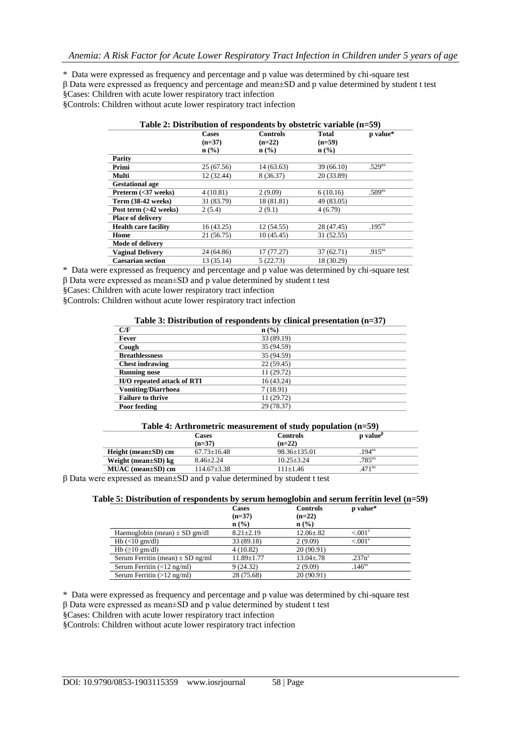\* Data were expressed as frequency and percentage and p value was determined by chi-square test β Data were expressed as frequency and percentage and mean±SD and p value determined by student t test §Cases: Children with acute lower respiratory tract infection

§Controls: Children without acute lower respiratory tract infection

| Table 2: Distribution of respondents by obstetric variable (n=59) |                          |                             |                          |                    |  |
|-------------------------------------------------------------------|--------------------------|-----------------------------|--------------------------|--------------------|--|
|                                                                   | <b>Cases</b><br>$(n=37)$ | <b>Controls</b><br>$(n=22)$ | <b>Total</b><br>$(n=59)$ | p value*           |  |
|                                                                   | $\mathbf{n}(\%)$         | $n\left(\frac{0}{0}\right)$ | $n$ (%)                  |                    |  |
| Parity                                                            |                          |                             |                          |                    |  |
| Primi                                                             | 25 (67.56)               | 14(63.63)                   | 39(66.10)                | .529 <sup>ns</sup> |  |
| Multi                                                             | 12 (32.44)               | 8 (36.37)                   | 20 (33.89)               |                    |  |
| <b>Gestational age</b>                                            |                          |                             |                          |                    |  |
| Preterm (<37 weeks)                                               | 4(10.81)                 | 2(9.09)                     | 6(10.16)                 | .509 <sup>ns</sup> |  |
| Term (38-42 weeks)                                                | 31 (83.79)               | 18 (81.81)                  | 49 (83.05)               |                    |  |
| Post term (>42 weeks)                                             | 2(5.4)                   | 2(9.1)                      | 4(6.79)                  |                    |  |
| <b>Place of delivery</b>                                          |                          |                             |                          |                    |  |
| <b>Health care facility</b>                                       | 16(43.25)                | 12(54.55)                   | 28 (47.45)               | $.195^{ns}$        |  |
| Home                                                              | 21 (56.75)               | 10(45.45)                   | 31 (52.55)               |                    |  |
| Mode of delivery                                                  |                          |                             |                          |                    |  |
| <b>Vaginal Delivery</b>                                           | 24 (64.86)               | 17(77.27)                   | 37(62.71)                | .915 <sup>ns</sup> |  |
| <b>Caesarian section</b>                                          | 13 (35.14)               | 5(22.73)                    | 18 (30.29)               |                    |  |

\* Data were expressed as frequency and percentage and p value was determined by chi-square test

β Data were expressed as mean±SD and p value determined by student t test

§Cases: Children with acute lower respiratory tract infection

§Controls: Children without acute lower respiratory tract infection

# **Table 3: Distribution of respondents by clinical presentation (n=37)**

| C/F                        | $n\left(\frac{9}{6}\right)$ |
|----------------------------|-----------------------------|
| Fever                      | 33 (89.19)                  |
| Cough                      | 35 (94.59)                  |
| <b>Breathlessness</b>      | 35 (94.59)                  |
| <b>Chest indrawing</b>     | 22(59.45)                   |
| <b>Running nose</b>        | 11 (29.72)                  |
| H/O repeated attack of RTI | 16 (43.24)                  |
| <b>Vomiting/Diarrhoea</b>  | 7(18.91)                    |
| <b>Failure to thrive</b>   | 11 (29.72)                  |
| Poor feeding               | 29 (78.37)                  |

#### **Table 4: Arthrometric measurement of study population (n=59)**

|                            |                 | .              |                                                 |
|----------------------------|-----------------|----------------|-------------------------------------------------|
|                            | Cases           | Controls       | $\mathbf p$ value <sup><math>\beta</math></sup> |
|                            | $(n=37)$        | $(n=22)$       |                                                 |
| $Height (mean \pm SD)$ cm  | $67.73 + 16.48$ | 98.36±135.01   | $194^{ns}$                                      |
| Weight (mean $\pm$ SD) kg  | $8.46 + 2.24$   | $10.25 + 3.24$ | $.785$ <sup>ns</sup>                            |
| $MUAC$ (mean $\pm SD$ ) cm | 114.67+3.38     | 111+1.46       | $471^{\text{ns}}$                               |
|                            |                 |                |                                                 |

β Data were expressed as mean±SD and p value determined by student t test

|                                                    | <b>Cases</b>                | <b>Controls</b> | p value*              |
|----------------------------------------------------|-----------------------------|-----------------|-----------------------|
|                                                    | $(n=37)$                    | $(n=22)$        |                       |
|                                                    | $n\left(\frac{0}{0}\right)$ | $n$ (%)         |                       |
| Haemoglobin (mean) $\pm$ SD gm/dl                  | $8.21 \pm 2.19$             | $12.06 \pm .82$ | $< 0.01$ <sup>s</sup> |
| $Hb \leq 10$ gm/dl)                                | 33 (89.18)                  | 2(9.09)         | $< 0.01$ <sup>s</sup> |
| Hb $(\geq 10$ gm/dl)                               | 4(10.82)                    | 20(90.91)       |                       |
| Serum Ferritin (mean) $\pm$ SD ng/ml               | $11.89 \pm 1.77$            | $13.04 \pm .78$ | .237n <sup>s</sup>    |
| Serum Ferritin $\left( < 12 \text{ ng/ml} \right)$ | 9(24.32)                    | 2(9.09)         | $.146$ <sup>ns</sup>  |
| Serum Ferritin $(>12 \text{ ng/ml})$               | 28 (75.68)                  | 20(90.91)       |                       |

\* Data were expressed as frequency and percentage and p value was determined by chi-square test

β Data were expressed as mean±SD and p value determined by student t test

§Cases: Children with acute lower respiratory tract infection

§Controls: Children without acute lower respiratory tract infection